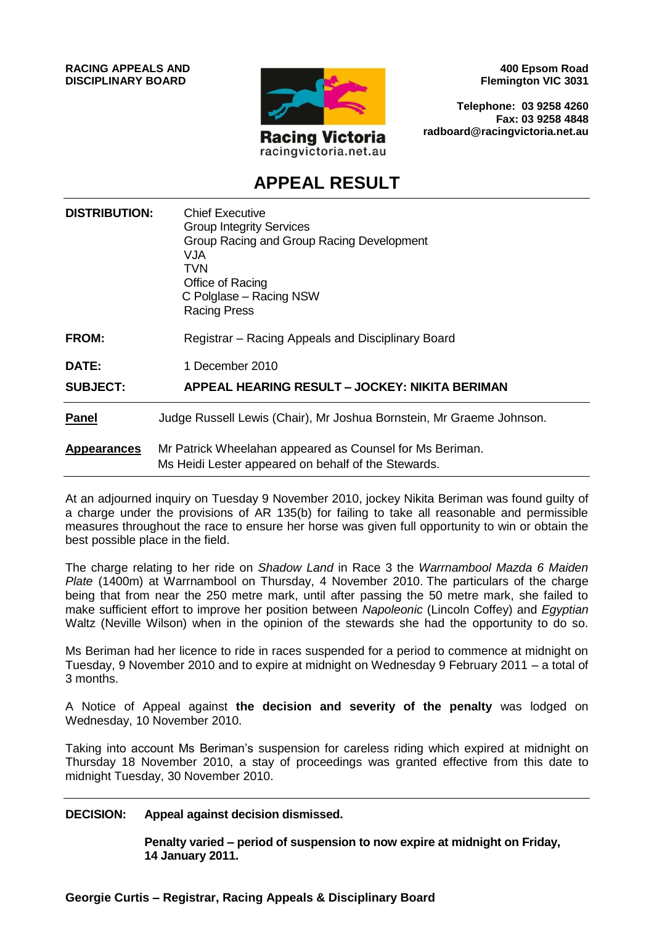

**400 Epsom Road Flemington VIC 3031**

**Telephone: 03 9258 4260 Fax: 03 9258 4848 radboard@racingvictoria.net.au**

# **APPEAL RESULT**

| <b>DISTRIBUTION:</b> | <b>Chief Executive</b><br><b>Group Integrity Services</b><br>Group Racing and Group Racing Development<br>VJA.<br>TVN<br>Office of Racing<br>C Polglase - Racing NSW<br><b>Racing Press</b> |
|----------------------|---------------------------------------------------------------------------------------------------------------------------------------------------------------------------------------------|
| FROM:                | Registrar – Racing Appeals and Disciplinary Board                                                                                                                                           |
| <b>DATE:</b>         | 1 December 2010                                                                                                                                                                             |
| <b>SUBJECT:</b>      | APPEAL HEARING RESULT - JOCKEY: NIKITA BERIMAN                                                                                                                                              |
| <b>Panel</b>         | Judge Russell Lewis (Chair), Mr Joshua Bornstein, Mr Graeme Johnson.                                                                                                                        |
| <b>Appearances</b>   | Mr Patrick Wheelahan appeared as Counsel for Ms Beriman.<br>Ms Heidi Lester appeared on behalf of the Stewards.                                                                             |

At an adjourned inquiry on Tuesday 9 November 2010, jockey Nikita Beriman was found guilty of a charge under the provisions of AR 135(b) for failing to take all reasonable and permissible measures throughout the race to ensure her horse was given full opportunity to win or obtain the best possible place in the field.

The charge relating to her ride on *Shadow Land* in Race 3 the *Warrnambool Mazda 6 Maiden Plate* (1400m) at Warrnambool on Thursday, 4 November 2010. The particulars of the charge being that from near the 250 metre mark, until after passing the 50 metre mark, she failed to make sufficient effort to improve her position between *Napoleonic* (Lincoln Coffey) and *Egyptian*  Waltz (Neville Wilson) when in the opinion of the stewards she had the opportunity to do so.

Ms Beriman had her licence to ride in races suspended for a period to commence at midnight on Tuesday, 9 November 2010 and to expire at midnight on Wednesday 9 February 2011 – a total of 3 months.

A Notice of Appeal against **the decision and severity of the penalty** was lodged on Wednesday, 10 November 2010.

Taking into account Ms Beriman's suspension for careless riding which expired at midnight on Thursday 18 November 2010, a stay of proceedings was granted effective from this date to midnight Tuesday, 30 November 2010.

#### **DECISION: Appeal against decision dismissed.**

**Penalty varied – period of suspension to now expire at midnight on Friday, 14 January 2011.**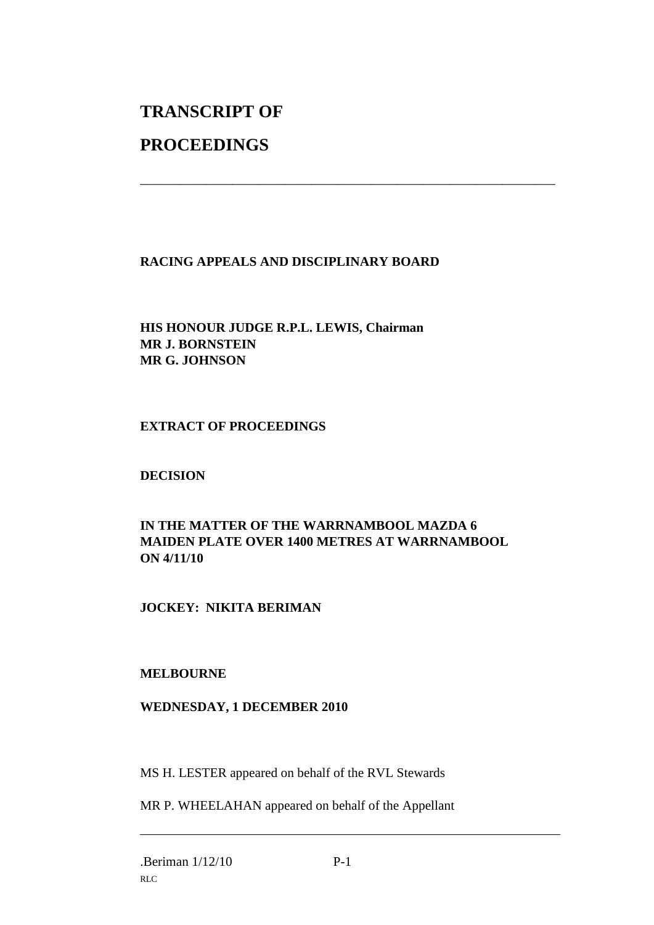# **TRANSCRIPT OF**

# **PROCEEDINGS**

# **RACING APPEALS AND DISCIPLINARY BOARD**

\_\_\_\_\_\_\_\_\_\_\_\_\_\_\_\_\_\_\_\_\_\_\_\_\_\_\_\_\_\_\_\_\_\_\_\_\_\_\_\_\_\_\_\_\_\_\_\_\_\_\_\_\_\_\_\_\_\_\_\_\_\_\_

# **HIS HONOUR JUDGE R.P.L. LEWIS, Chairman MR J. BORNSTEIN MR G. JOHNSON**

# **EXTRACT OF PROCEEDINGS**

# **DECISION**

# **IN THE MATTER OF THE WARRNAMBOOL MAZDA 6 MAIDEN PLATE OVER 1400 METRES AT WARRNAMBOOL ON 4/11/10**

# **JOCKEY: NIKITA BERIMAN**

#### **MELBOURNE**

#### **WEDNESDAY, 1 DECEMBER 2010**

MS H. LESTER appeared on behalf of the RVL Stewards

MR P. WHEELAHAN appeared on behalf of the Appellant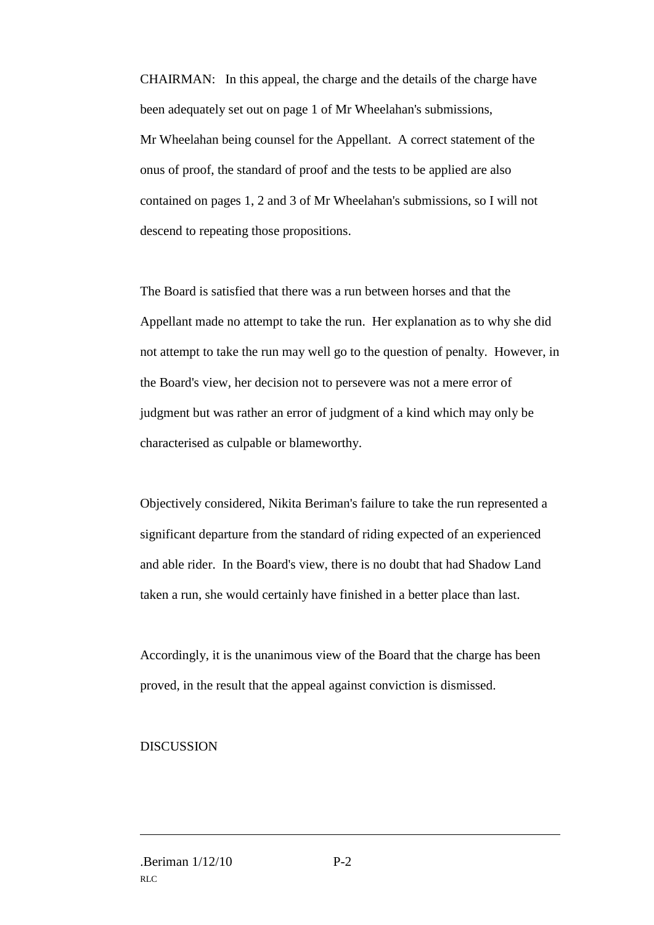CHAIRMAN: In this appeal, the charge and the details of the charge have been adequately set out on page 1 of Mr Wheelahan's submissions, Mr Wheelahan being counsel for the Appellant. A correct statement of the onus of proof, the standard of proof and the tests to be applied are also contained on pages 1, 2 and 3 of Mr Wheelahan's submissions, so I will not descend to repeating those propositions.

The Board is satisfied that there was a run between horses and that the Appellant made no attempt to take the run. Her explanation as to why she did not attempt to take the run may well go to the question of penalty. However, in the Board's view, her decision not to persevere was not a mere error of judgment but was rather an error of judgment of a kind which may only be characterised as culpable or blameworthy.

Objectively considered, Nikita Beriman's failure to take the run represented a significant departure from the standard of riding expected of an experienced and able rider. In the Board's view, there is no doubt that had Shadow Land taken a run, she would certainly have finished in a better place than last.

Accordingly, it is the unanimous view of the Board that the charge has been proved, in the result that the appeal against conviction is dismissed.

#### **DISCUSSION**